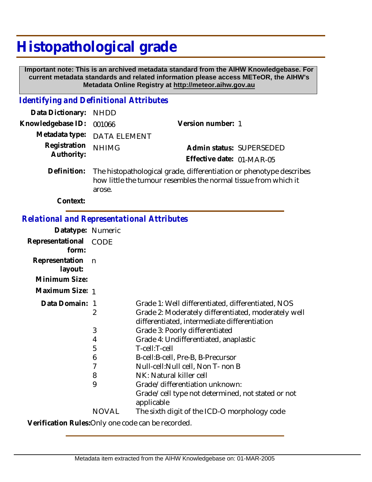## **Histopathological grade**

 **Important note: This is an archived metadata standard from the AIHW Knowledgebase. For current metadata standards and related information please access METeOR, the AIHW's Metadata Online Registry at http://meteor.aihw.gov.au**

## *Identifying and Definitional Attributes*

| Data Dictionary: NHDD      |                                                                                                                                                    |                           |  |
|----------------------------|----------------------------------------------------------------------------------------------------------------------------------------------------|---------------------------|--|
| Knowledgebase ID: 001066   |                                                                                                                                                    | Version number: 1         |  |
|                            | Metadata type: DATA ELEMENT                                                                                                                        |                           |  |
| Registration<br>Authority: | <b>NHIMG</b>                                                                                                                                       | Admin status: SUPERSEDED  |  |
|                            |                                                                                                                                                    | Effective date: 01-MAR-05 |  |
|                            | Definition: The histopathological grade, differentiation or phenotype describes<br>how little the tumour resembles the normal tissue from which it |                           |  |

**Context:**

## *Relational and Representational Attributes*

arose.

| Datatype: Numeric                          |              |                                                                                                     |
|--------------------------------------------|--------------|-----------------------------------------------------------------------------------------------------|
| Representational<br>form:                  | CODE         |                                                                                                     |
| Representation<br>layout:<br>Minimum Size: | n            |                                                                                                     |
| Maximum Size: 1                            |              |                                                                                                     |
|                                            |              |                                                                                                     |
| Data Domain: 1                             |              | Grade 1: Well differentiated, differentiated, NOS                                                   |
|                                            | 2            | Grade 2: Moderately differentiated, moderately well<br>differentiated, intermediate differentiation |
|                                            | 3            | Grade 3: Poorly differentiated                                                                      |
|                                            | 4            | Grade 4: Undifferentiated, anaplastic                                                               |
|                                            | 5            | T-cell:T-cell                                                                                       |
|                                            | 6            | B-cell: B-cell, Pre-B, B-Precursor                                                                  |
|                                            | 7            | Null-cell: Null cell, Non T- non B                                                                  |
|                                            | 8            | NK: Natural killer cell                                                                             |
|                                            | 9            | Grade/differentiation unknown:                                                                      |
|                                            |              | Grade/cell type not determined, not stated or not<br>applicable                                     |
|                                            | <b>NOVAL</b> | The sixth digit of the ICD-O morphology code                                                        |
|                                            |              |                                                                                                     |

**Verification Rules:**Only one code can be recorded.